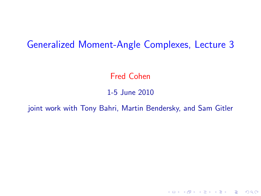#### Generalized Moment-Angle Complexes, Lecture 3

Fred Cohen

#### 1-5 June 2010

joint work with Tony Bahri, Martin Bendersky, and Sam Gitler

K ロ ▶ K @ ▶ K 할 > K 할 > 1 할 > 1 이익어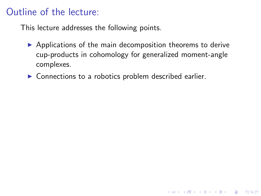## Outline of the lecture:

This lecture addresses the following points.

 $\triangleright$  Applications of the main decomposition theorems to derive cup-products in cohomology for generalized moment-angle complexes.

**K ロ ▶ K @ ▶ K 할 X X 할 X 및 할 X X Q Q O** 

 $\triangleright$  Connections to a robotics problem described earlier.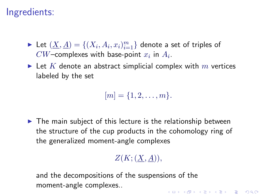## Ingredients:

- $\blacktriangleright$  Let  $(\underline{X}, \underline{A}) = \{(X_i, A_i, x_i)_{i=1}^m\}$  denote a set of triples of  $CW$ –complexes with base-point  $x_i$  in  $A_i$ .
- In Let K denote an abstract simplicial complex with  $m$  vertices labeled by the set

$$
[m]=\{1,2,\ldots,m\}.
$$

 $\blacktriangleright$  The main subject of this lecture is the relationship between the structure of the cup products in the cohomology ring of the generalized moment-angle complexes

#### $Z(K;(X,A)).$

and the decompositions of the suspensions of the moment-angle complexes..4 D > 4 P + 4 B + 4 B + B + 9 Q O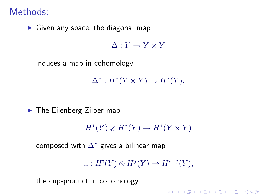### Methods:

 $\blacktriangleright$  Given any space, the diagonal map

 $\Lambda \cdot Y \to Y \times Y$ 

induces a map in cohomology

 $\Delta^* : H^*(Y \times Y) \to H^*(Y).$ 

 $\blacktriangleright$  The Eilenberg-Zilber map

 $H^*(Y) \otimes H^*(Y) \to H^*(Y \times Y)$ 

composed with  $\Delta^*$  gives a bilinear map

 $\cup: H^i(Y) \otimes H^j(Y) \to H^{i+j}(Y),$ 

4 D > 4 P + 4 B + 4 B + B + 9 Q O

the cup-product in cohomology.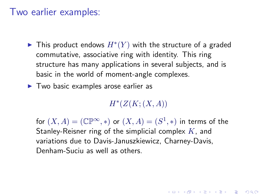#### Two earlier examples:

- ▶ This product endows  $H^*(Y)$  with the structure of a graded commutative, associative ring with identity. This ring structure has many applications in several subjects, and is basic in the world of moment-angle complexes.
- $\blacktriangleright$  Two basic examples arose earlier as

 $H^*(Z(K;(X,A))$ 

for  $(X, A) = (\mathbb{CP}^{\infty}, *)$  or  $(X, A) = (S^1, *)$  in terms of the Stanley-Reisner ring of the simplicial complex  $K$ , and variations due to Davis-Januszkiewicz, Charney-Davis, Denham-Suciu as well as others.

**AD A 4 4 4 5 A 5 A 5 A 4 D A 4 D A 4 PM**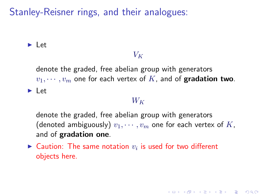$\blacktriangleright$  Let

#### $V_K$

denote the graded, free abelian group with generators  $v_1, \dots, v_m$  one for each vertex of K, and of gradation two.  $\blacktriangleright$  Let

#### $W_K$

denote the graded, free abelian group with generators (denoted ambiguously)  $v_1, \dots, v_m$  one for each vertex of K, and of gradation one.

**KORKAR KERKER E VOOR** 

 $\blacktriangleright$  Caution: The same notation  $v_i$  is used for two different objects here.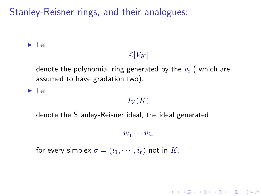$\blacktriangleright$  Let

# $\mathbb{Z}[V_K]$

denote the polynomial ring generated by the  $v_i$  (which are assumed to have gradation two).

 $\blacktriangleright$  Let

#### $I_V(K)$

denote the Stanley-Reisner ideal, the ideal generated

 $v_{i_1}\cdots v_{i_r}$ 

for every simplex  $\sigma = (i_1, \dots, i_r)$  not in K.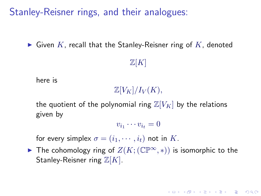$\blacktriangleright$  Given K, recall that the Stanley-Reisner ring of K, denoted

#### $\mathbb{Z}[K]$

here is

 $\mathbb{Z}[V_K]/I_V(K)$ ,

the quotient of the polynomial ring  $\mathbb{Z}[V_K]$  by the relations given by

$$
v_{i_1}\cdots v_{i_t}=0
$$

for every simplex  $\sigma = (i_1, \dots, i_t)$  not in K.

**►** The cohomology ring of  $Z(K; (\mathbb{CP}^{\infty}, *)$  is isomorphic to the Stanley-Reisner ring  $\mathbb{Z}[K]$ .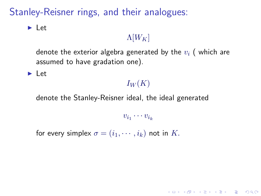$\blacktriangleright$  Let

# $\Lambda[W_K]$

denote the exterior algebra generated by the  $v_i$  (which are assumed to have gradation one).

 $\blacktriangleright$  Let

#### $I_W(K)$

denote the Stanley-Reisner ideal, the ideal generated

 $v_{i_1}\cdots v_{i_k}$ 

**K ロ ▶ K @ ▶ K 할 X X 할 X 및 할 X X Q Q O** 

for every simplex  $\sigma = (i_1, \dots, i_k)$  not in K.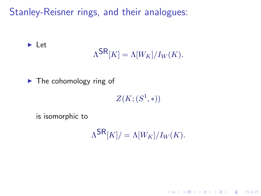$$
\Lambda^{\mathsf{SR}}[K] = \Lambda[W_K]/I_W(K).
$$

 $\blacktriangleright$  The cohomology ring of

 $Z(K; (S^1,*))$ 

is isomorphic to

 $\blacktriangleright$  Let

 $\Lambda^{\mathsf{SR}}[K] / = \Lambda[W_K]/I_W(K).$ 

K ロ ▶ K @ ▶ K 할 > K 할 > 1 할 > 1 이익어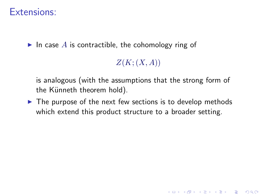### Extensions:

In case A is contractible, the cohomology ring of

 $Z(K;(X,A))$ 

4 D > 4 P + 4 B + 4 B + B + 9 Q O

is analogous (with the assumptions that the strong form of the Künneth theorem hold).

 $\blacktriangleright$  The purpose of the next few sections is to develop methods which extend this product structure to a broader setting.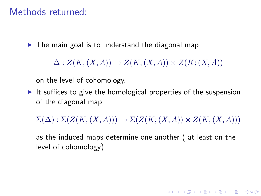### Methods returned:

 $\triangleright$  The main goal is to understand the diagonal map

 $\Delta: Z(K;(X,A)) \to Z(K;(X,A)) \times Z(K;(X,A))$ 

on the level of cohomology.

It suffices to give the homological properties of the suspension of the diagonal map

 $\Sigma(\Delta): \Sigma(Z(K;(X,A))) \to \Sigma(Z(K;(X,A)) \times Z(K;(X,A)))$ 

as the induced maps determine one another ( at least on the level of cohomology).

**KORKAR KERKER E VOOR**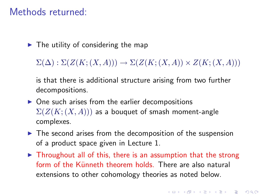#### Methods returned:

 $\blacktriangleright$  The utility of considering the map

 $\Sigma(\Delta): \Sigma(Z(K;(X,A))) \to \Sigma(Z(K;(X,A)) \times Z(K;(X,A)))$ 

is that there is additional structure arising from two further decompositions.

- $\triangleright$  One such arises from the earlier decompositions  $\Sigma(Z(K;(X,A)))$  as a bouquet of smash moment-angle complexes.
- $\blacktriangleright$  The second arises from the decomposition of the suspension of a product space given in Lecture 1.
- $\triangleright$  Throughout all of this, there is an assumption that the strong form of the Künneth theorem holds. There are also natural extensions to other cohomology theories as noted below.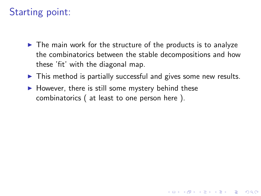# Starting point:

- $\triangleright$  The main work for the structure of the products is to analyze the combinatorics between the stable decompositions and how these 'fit' with the diagonal map.
- $\triangleright$  This method is partially successful and gives some new results.

**KORK ERKER ADE YOUR** 

 $\blacktriangleright$  However, there is still some mystery behind these combinatorics ( at least to one person here ).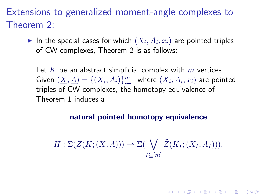Extensions to generalized moment-angle complexes to Theorem 2:

 $\blacktriangleright$  In the special cases for which  $(X_i, A_i, x_i)$  are pointed triples of CW-complexes, Theorem 2 is as follows:

Let K be an abstract simplicial complex with  $m$  vertices. Given  $(\underline{X}, \underline{A}) = \{(X_i, A_i)\}_{i=1}^m$  where  $(X_i, A_i, x_i)$  are pointed triples of CW-complexes, the homotopy equivalence of Theorem 1 induces a

#### natural pointed homotopy equivalence

$$
H: \Sigma(Z(K; (\underline{X}, \underline{A}))) \to \Sigma(\bigvee_{I \subseteq [m]} \widehat{Z}(K_I; (\underline{X_I}, \underline{A_I}))).
$$

4 D > 4 P + 4 B + 4 B + B + 9 Q O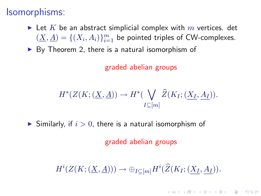## Isomorphisms:

- In Let K be an abstract simplicial complex with m vertices. det  $(\underline{X}, \underline{A}) = \{(X_i, A_i)\}_{i=1}^m$  be pointed triples of CW-complexes.
- $\triangleright$  By Theorem 2, there is a natural isomorphism of

graded abelian groups

$$
H^*(Z(K; (\underline{X}, \underline{A})) \to H^*(\bigvee_{I \subseteq [m]} \widehat{Z}(K_I; (\underline{X_I}, \underline{A_I})).
$$

 $\blacktriangleright$  Similarly, if  $i > 0$ , there is a natural isomorphism of

graded abelian groups

 $H^i(Z(K; (\underline{X}, \underline{A}))) \to \oplus_{I \subseteq [m]} H^i(\widehat{Z}(K_I; (\underline{X_I}, \underline{A_I})).$ 

**KORK (FRAGE) EL POLO**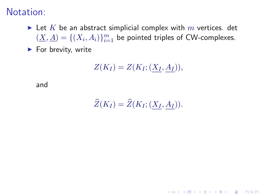#### Notation:

- In Let K be an abstract simplicial complex with  $m$  vertices. det  $(\underline{X}, \underline{A}) = \{(X_i, A_i)\}_{i=1}^m$  be pointed triples of CW-complexes.
- $\blacktriangleright$  For brevity, write

$$
Z(K_I) = Z(K_I; (\underline{X_I}, \underline{A_I})),
$$

and

$$
\widehat{Z}(K_I) = \widehat{Z}(K_I; (\underline{X_I}, \underline{A_I})).
$$

**K ロ ▶ K @ ▶ K 할 X X 할 X 및 할 X X Q Q O**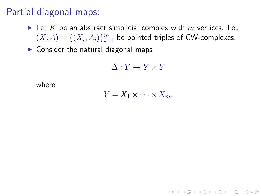# Partial diagonal maps:

- In Let K be an abstract simplicial complex with  $m$  vertices. Let  $(\underline{X}, \underline{A}) = \{(X_i, A_i)\}_{i=1}^m$  be pointed triples of CW-complexes.
- $\triangleright$  Consider the natural diagonal maps

 $\Delta: Y \to Y \times Y$ 

where

 $Y = X_1 \times \cdots \times X_m$ .

4 D > 4 P + 4 B + 4 B + B + 9 Q O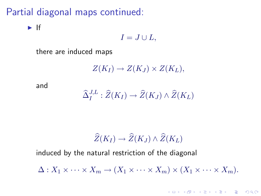## Partial diagonal maps continued:

 $\blacktriangleright$  If

$$
I=J\cup L,
$$

there are induced maps

 $Z(K_I) \to Z(K_J) \times Z(K_L),$ 

and

$$
\widehat{\Delta}_I^{J,L} : \widehat{Z}(K_I) \to \widehat{Z}(K_J) \wedge \widehat{Z}(K_L)
$$

$$
\widehat{Z}(K_I) \to \widehat{Z}(K_J) \wedge \widehat{Z}(K_L)
$$

induced by the natural restriction of the diagonal

 $\Delta: X_1 \times \cdots \times X_m \to (X_1 \times \cdots \times X_m) \times (X_1 \times \cdots \times X_m).$ 

4 D > 4 P + 4 B + 4 B + B + 9 Q O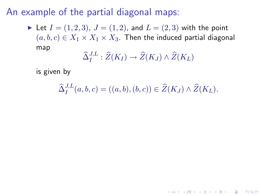An example of the partial diagonal maps:

In Let  $I = (1, 2, 3), J = (1, 2)$ , and  $L = (2, 3)$  with the point  $(a, b, c) \in X_1 \times X_1 \times X_3$ . Then the induced partial diagonal map

$$
\widehat{\Delta}^{J,L}_I : \widehat{Z}(K_I) \to \widehat{Z}(K_J) \wedge \widehat{Z}(K_L)
$$

is given by

 $\widehat{\Delta}_I^{J,L}(a,b,c) = ((a,b),(b,c)) \in \widehat{Z}(K_J) \wedge \widehat{Z}(K_L).$ 

**KORK ERKER ADE YOUR**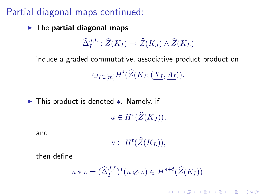## Partial diagonal maps continued:

 $\blacktriangleright$  The partial diagonal maps

$$
\widehat{\Delta}_I^{J,L} : \widehat{Z}(K_I) \to \widehat{Z}(K_J) \wedge \widehat{Z}(K_L)
$$

induce a graded commutative, associative product product on  $\oplus_{I \subseteq [m]} H^i(\widehat{Z}(K_I; (\underline{X_I}, \underline{A_I})).$ 

► This product is denoted \*. Namely, if  $u \in H^s(\widehat{Z}(K_J)),$ 

and

 $v \in H^t(\widehat{Z}(K_L)),$ 

then define

$$
u * v = (\widehat{\Delta}_I^{J,L})^*(u \otimes v) \in H^{s+t}(\widehat{Z}(K_I)).
$$

**K ロ ▶ K @ ▶ K 할 X X 할 X 및 할 X X Q Q O**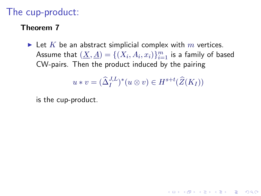## The cup-product:

#### Theorem 7

In Let K be an abstract simplicial complex with  $m$  vertices. Assume that  $(\underline{X}, \underline{A}) = \{(X_i, A_i, x_i)\}_{i=1}^m$  is a family of based CW-pairs. Then the product induced by the pairing

$$
u * v = (\widehat{\Delta}_I^{J,L})^*(u \otimes v) \in H^{s+t}(\widehat{Z}(K_I))
$$

**KORK ERKER ADE YOUR** 

is the cup-product.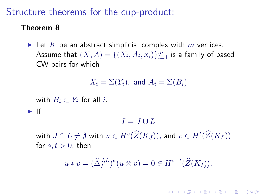### Structure theorems for the cup-product:

#### Theorem 8

In Let K be an abstract simplicial complex with  $m$  vertices. Assume that  $(\underline{X}, \underline{A}) = \{(X_i, A_i, x_i)\}_{i=1}^m$  is a family of based CW-pairs for which

 $X_i = \Sigma(Y_i)$ , and  $A_i = \Sigma(B_i)$ 

with  $B_i \subset Y_i$  for all i.

 $\blacktriangleright$  If

 $I = J \cup L$ 

with  $J \cap L \neq \emptyset$  with  $u \in H^s (\widehat{Z}(K_J)),$  and  $v \in H^t (\widehat{Z}(K_L))$ for  $s, t > 0$ , then

$$
u * v = (\widehat{\Delta}_I^{J,L})^*(u \otimes v) = 0 \in H^{s+t}(\widehat{Z}(K_I)).
$$

**KORKAR KERKER E VOOR**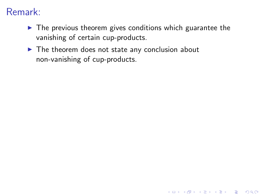# Remark:

 $\blacktriangleright$  The previous theorem gives conditions which guarantee the vanishing of certain cup-products.

**K ロ ▶ K @ ▶ K 할 X X 할 X 및 할 X X Q Q O** 

 $\blacktriangleright$  The theorem does not state any conclusion about non-vanishing of cup-products.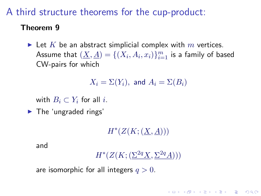## A third structure theorems for the cup-product:

#### Theorem 9

In Let K be an abstract simplicial complex with  $m$  vertices. Assume that  $(\underline{X}, \underline{A}) = \{(X_i, A_i, x_i)\}_{i=1}^m$  is a family of based CW-pairs for which

 $X_i = \Sigma(Y_i)$ , and  $A_i = \Sigma(B_i)$ 

with  $B_i \subset Y_i$  for all i.

 $\blacktriangleright$  The 'ungraded rings'

 $H^*(Z(K; (\underline{X}, \underline{A})))$ 

and

```
H^*(Z(K; (\Sigma^{2q} X, \Sigma^{2q} A)))
```
**KORKAR KERKER E VOOR** 

are isomorphic for all integers  $q > 0$ .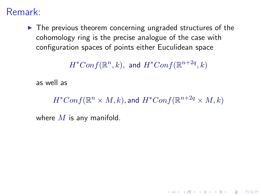## Remark:

 $\blacktriangleright$  The previous theorem concerning ungraded structures of the cohomology ring is the precise analogue of the case with configuration spaces of points either Euculidean space

 $H^*Conf(\mathbb{R}^n, k),$  and  $H^*Conf(\mathbb{R}^{n+2q}, k)$ 

as well as

 $H^*Conf(\mathbb{R}^n \times M, k)$ , and  $H^*Conf(\mathbb{R}^{n+2q} \times M, k)$ 

4 D > 4 P + 4 B + 4 B + B + 9 Q O

where  $M$  is any manifold.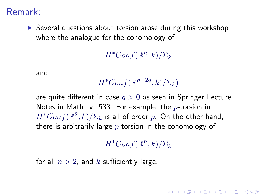Remark:

 $\triangleright$  Several questions about torsion arose during this workshop where the analogue for the cohomology of

 $H^*Conf(\mathbb{R}^n, k)/\Sigma_k$ 

and

 $H^*Conf(\mathbb{R}^{n+2q},k)/\Sigma_k)$ 

are quite different in case  $q > 0$  as seen in Springer Lecture Notes in Math. v. 533. For example, the  $p$ -torsion in  $H^*Conf(\mathbb{R}^2, k) / \Sigma_k$  is all of order  $p.$  On the other hand, there is arbitrarily large  $p$ -torsion in the cohomology of

 $H^*Conf(\mathbb{R}^n, k)/\Sigma_k$ 

**KORKAR KERKER E VOOR** 

for all  $n > 2$ , and k sufficiently large.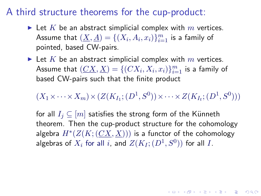### A third structure theorems for the cup-product:

- In Let K be an abstract simplicial complex with m vertices. Assume that  $(\underline{X}, \underline{A}) = \{(X_i, A_i, x_i)\}_{i=1}^m$  is a family of pointed, based CW-pairs.
- In Let K be an abstract simplicial complex with m vertices. Assume that  $(\underline{CX}, \underline{X}) = \{(CX_i, X_i, x_i)\}_{i=1}^m$  is a family of based CW-pairs such that the finite product

 $(X_1 \times \cdots \times X_m) \times (Z(K_{I_1}; (D^1, S^0)) \times \cdots \times Z(K_{I_t}; (D^1, S^0)))$ 

for all  $I_i \subseteq [m]$  satisfies the strong form of the Künneth theorem. Then the cup-product structure for the cohomology algebra  $H^*(Z(K; (CX, X)))$  is a functor of the cohomology algebras of  $X_i$  for all  $i$ , and  $Z(K_I; (D^1, S^0))$  for all  $I.$ 

KID KA KERKER E VOOR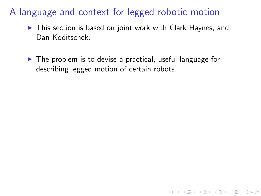## A language and context for legged robotic motion

- $\triangleright$  This section is based on joint work with Clark Haynes, and Dan Koditschek.
- $\triangleright$  The problem is to devise a practical, useful language for describing legged motion of certain robots.

**K ロ ▶ K @ ▶ K 할 X X 할 X 및 할 X X Q Q O**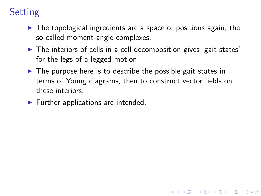# **Setting**

- $\triangleright$  The topological ingredients are a space of positions again, the so-called moment-angle complexes.
- $\blacktriangleright$  The interiors of cells in a cell decomposition gives 'gait states' for the legs of a legged motion.
- $\triangleright$  The purpose here is to describe the possible gait states in terms of Young diagrams, then to construct vector fields on these interiors.

4 D > 4 P + 4 B + 4 B + B + 9 Q O

 $\blacktriangleright$  Further applications are intended.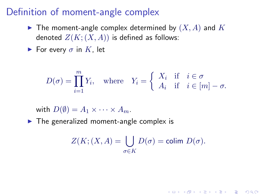### Definition of moment-angle complex

- $\blacktriangleright$  The moment-angle complex determined by  $(X, A)$  and  $K$ denoted  $Z(K; (X, A))$  is defined as follows:
- For every  $\sigma$  in K, let

$$
D(\sigma) = \prod_{i=1}^{m} Y_i, \quad \text{where} \quad Y_i = \begin{cases} X_i & \text{if } i \in \sigma \\ A_i & \text{if } i \in [m] - \sigma. \end{cases}
$$

with  $D(\emptyset) = A_1 \times \cdots \times A_m$ .

 $\blacktriangleright$  The generalized moment-angle complex is

$$
Z(K; (X, A) = \bigcup_{\sigma \in K} D(\sigma) = \text{colim } D(\sigma).
$$

**K ロ ▶ K @ ▶ K 할 X X 할 X 및 할 X X Q Q O**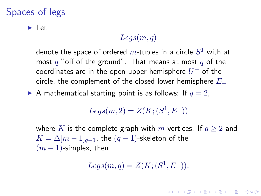## Spaces of legs

 $\blacktriangleright$  Let

#### $Leqs(m, q)$

denote the space of ordered  $m\text{-tuples}$  in a circle  $S^1$  with at most  $q$  "off of the ground". That means at most  $q$  of the coordinates are in the open upper hemisphere  $U^+$  of the circle, the complement of the closed lower hemisphere  $E_-.$ 

A mathematical starting point is as follows: If  $q = 2$ ,

 $Legs(m,2) = Z(K; (S^1, E_-))$ 

where K is the complete graph with m vertices. If  $q \ge 2$  and  $K = \Delta[m-1]_{q-1}$ , the  $(q-1)$ -skeleton of the  $(m - 1)$ -simplex, then

$$
Legs(m,q) = Z(K; (S^1, E_-)).
$$

**KORKAR KERKER E VOOR**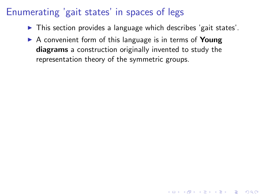# Enumerating 'gait states' in spaces of legs

 $\triangleright$  This section provides a language which describes 'gait states'.

4 D > 4 P + 4 B + 4 B + B + 9 Q O

 $\triangleright$  A convenient form of this language is in terms of **Young** diagrams a construction originally invented to study the representation theory of the symmetric groups.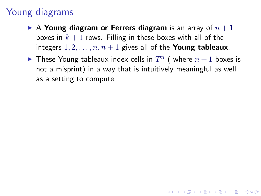# Young diagrams

- A Young diagram or Ferrers diagram is an array of  $n+1$ boxes in  $k + 1$  rows. Filling in these boxes with all of the integers  $1, 2, \ldots, n, n+1$  gives all of the **Young tableaux**.
- $\blacktriangleright$  These Young tableaux index cells in  $T^n$  (where  $n+1$  boxes is not a misprint) in a way that is intuitively meaningful as well as a setting to compute.

4 D > 4 P + 4 B + 4 B + B + 9 Q O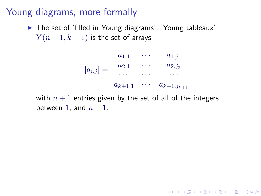## Young diagrams, more formally

▶ The set of 'filled in Young diagrams', 'Young tableaux'  $Y(n+1, k+1)$  is the set of arrays

$$
[a_{i,j}] = \begin{array}{cccc} a_{1,1} & \cdots & a_{1,j_1} \\ a_{2,1} & \cdots & a_{2,j_2} \\ \cdots & \cdots & \cdots \\ a_{k+1,1} & \cdots & a_{k+1,j_{k+1}} \end{array}
$$

**K ロ ▶ K @ ▶ K 할 X X 할 X 및 할 X X Q Q O** 

with  $n + 1$  entries given by the set of all of the integers between 1, and  $n + 1$ .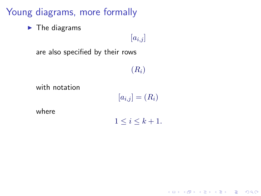Young diagrams, more formally

 $\blacktriangleright$  The diagrams

 $[a_{i,j}]$ 

are also specified by their rows

 $(R_i)$ 

with notation

 $[a_{i,j}] = (R_i)$ 

where

 $1 \leq i \leq k+1$ .

**K ロ ▶ K @ ▶ K 할 X X 할 X 및 할 X X Q Q O**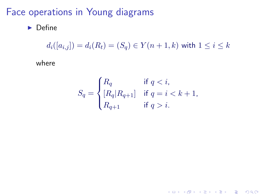## Face operations in Young diagrams

 $\blacktriangleright$  Define

 $d_i([a_{i,j}]) = d_i(R_t) = (S_q) \in Y(n+1,k)$  with  $1 \leq i \leq k$ 

where

$$
S_q = \begin{cases} R_q & \text{if } q < i, \\ [R_q | R_{q+1}] & \text{if } q = i < k+1, \\ R_{q+1} & \text{if } q > i. \end{cases}
$$

K ロ ▶ K @ ▶ K 할 ▶ K 할 ▶ | 할 | © 9 Q @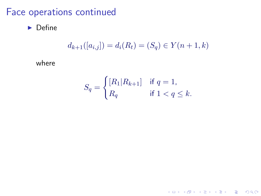## Face operations continued

 $\blacktriangleright$  Define

$$
d_{k+1}([a_{i,j}]) = d_i(R_t) = (S_q) \in Y(n+1,k)
$$

where

$$
S_q = \begin{cases} [R_1|R_{k+1}] & \text{if } q = 1, \\ R_q & \text{if } 1 < q \le k. \end{cases}
$$

K ロ ▶ K @ ▶ K 할 ▶ K 할 ▶ ... 할 ... 9 Q Q ·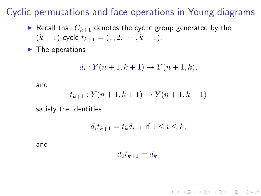Cyclic permutations and face operations in Young diagrams

- Recall that  $C_{k+1}$  denotes the cyclic group generated by the  $(k + 1)$ -cycle  $t_{k+1} = (1, 2, \cdots, k + 1)$ .
- $\blacktriangleright$  The operations

$$
d_i: Y(n + 1, k + 1) \to Y(n + 1, k),
$$

and

$$
t_{k+1}: Y(n+1, k+1) \to Y(n+1, k+1)
$$

satisfy the identities

$$
d_i t_{k+1} = t_k d_{i-1}
$$
 if  $1 \le i \le k$ ,

and

 $d_0t_{k+1} = d_k.$ 

**KORKAR KERKER E VOOR**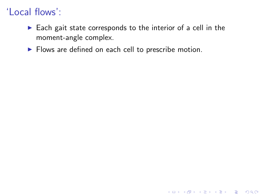# 'Local flows':

 $\blacktriangleright$  Each gait state corresponds to the interior of a cell in the moment-angle complex.

KO KKOK KEK KEK LE I DAG

 $\blacktriangleright$  Flows are defined on each cell to prescribe motion.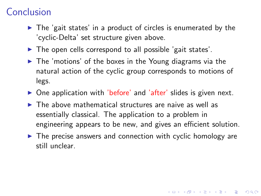# **Conclusion**

- $\triangleright$  The 'gait states' in a product of circles is enumerated by the 'cyclic-Delta' set structure given above.
- $\triangleright$  The open cells correspond to all possible 'gait states'.
- $\blacktriangleright$  The 'motions' of the boxes in the Young diagrams via the natural action of the cyclic group corresponds to motions of legs.
- $\triangleright$  One application with 'before' and 'after' slides is given next.
- $\blacktriangleright$  The above mathematical structures are naive as well as essentially classical. The application to a problem in engineering appears to be new, and gives an efficient solution.
- $\blacktriangleright$  The precise answers and connection with cyclic homology are still unclear.

4 D > 4 P + 4 B + 4 B + B + 9 Q O